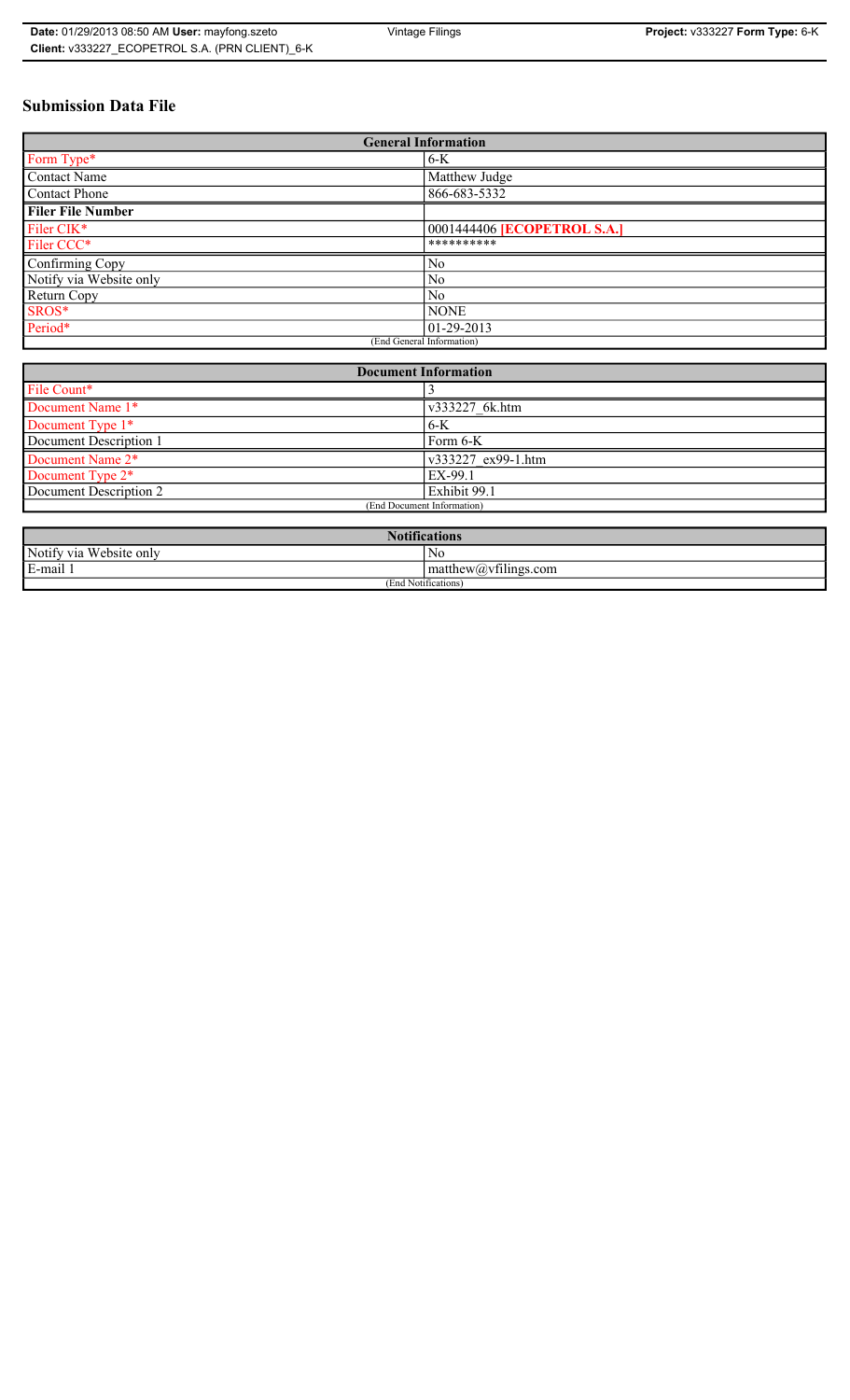## **Submission Data File**

| <b>General Information</b> |                             |
|----------------------------|-----------------------------|
| Form Type*                 | $6-K$                       |
| Contact Name               | Matthew Judge               |
| Contact Phone              | 866-683-5332                |
| <b>Filer File Number</b>   |                             |
| Filer CIK*                 | 0001444406 [ECOPETROL S.A.] |
| Filer CCC*                 | **********                  |
| Confirming Copy            | No                          |
| Notify via Website only    | N <sub>0</sub>              |
| Return Copy                | N <sub>0</sub>              |
| SROS*                      | <b>NONE</b>                 |
| Period*                    | $ 01-29-2013 $              |
| (End General Information)  |                             |

| <b>Document Information</b>  |                    |
|------------------------------|--------------------|
| File Count*                  |                    |
| Document Name 1*             | v333227 6k.htm     |
| Document Type 1*             | $6-K$              |
| Document Description 1       | Form 6-K           |
| Document Name 2 <sup>*</sup> | v333227 ex99-1.htm |
| Document Type 2*             | EX-99.1            |
| Document Description 2       | Exhibit 99.1       |
| (End Document Information)   |                    |
|                              |                    |

| $\cdot$ $\cdot$<br>tications                   |                                              |
|------------------------------------------------|----------------------------------------------|
| Notify via<br><b>TTT</b><br>/ebsite only<br>W. | N0                                           |
| E-mail                                         | $\sim$ $+$<br>$ $ matthew $(a)$ vfilings com |
| (End Notifications)                            |                                              |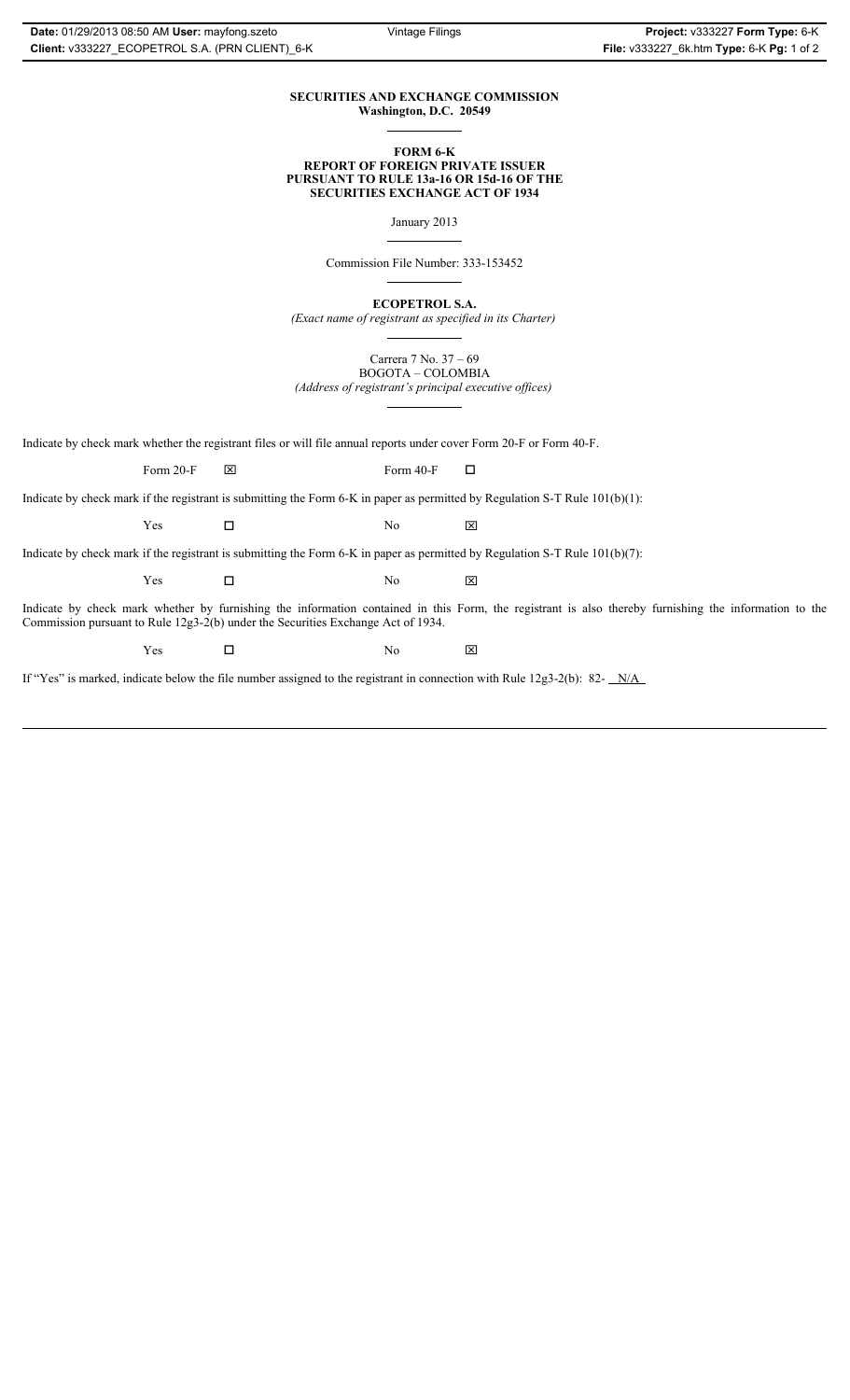## **SECURITIES AND EXCHANGE COMMISSION Washington, D.C. 20549**

### **FORM 6-K REPORT OF FOREIGN PRIVATE ISSUER PURSUANT TO RULE 13a-16 OR 15d-16 OF THE SECURITIES EXCHANGE ACT OF 1934**

January 2013

Commission File Number: 333-153452

**ECOPETROL S.A.**

*(Exact name of registrant as specified in its Charter)*

Carrera 7 No. 37 – 69 BOGOTA – COLOMBIA

*(Address of registrant's principal executive offices)*

Indicate by check mark whether the registrant files or will file annual reports under cover Form 20-F or Form 40-F.

Form 20-F  $\boxtimes$  Form 40-F  $\Box$ 

Indicate by check mark if the registrant is submitting the Form 6-K in paper as permitted by Regulation S-T Rule 101(b)(1):

 $Yes$   $\Box$   $No$   $X$ 

Indicate by check mark if the registrant is submitting the Form 6-K in paper as permitted by Regulation S-T Rule 101(b)(7):

 $Yes$   $\Box$   $No$   $X$ 

Indicate by check mark whether by furnishing the information contained in this Form, the registrant is also thereby furnishing the information to the Commission pursuant to Rule 12g3-2(b) under the Securities Exchange Act of 1934.

 $Yes$   $\square$ 

If "Yes" is marked, indicate below the file number assigned to the registrant in connection with Rule 12g3-2(b): 82- N/A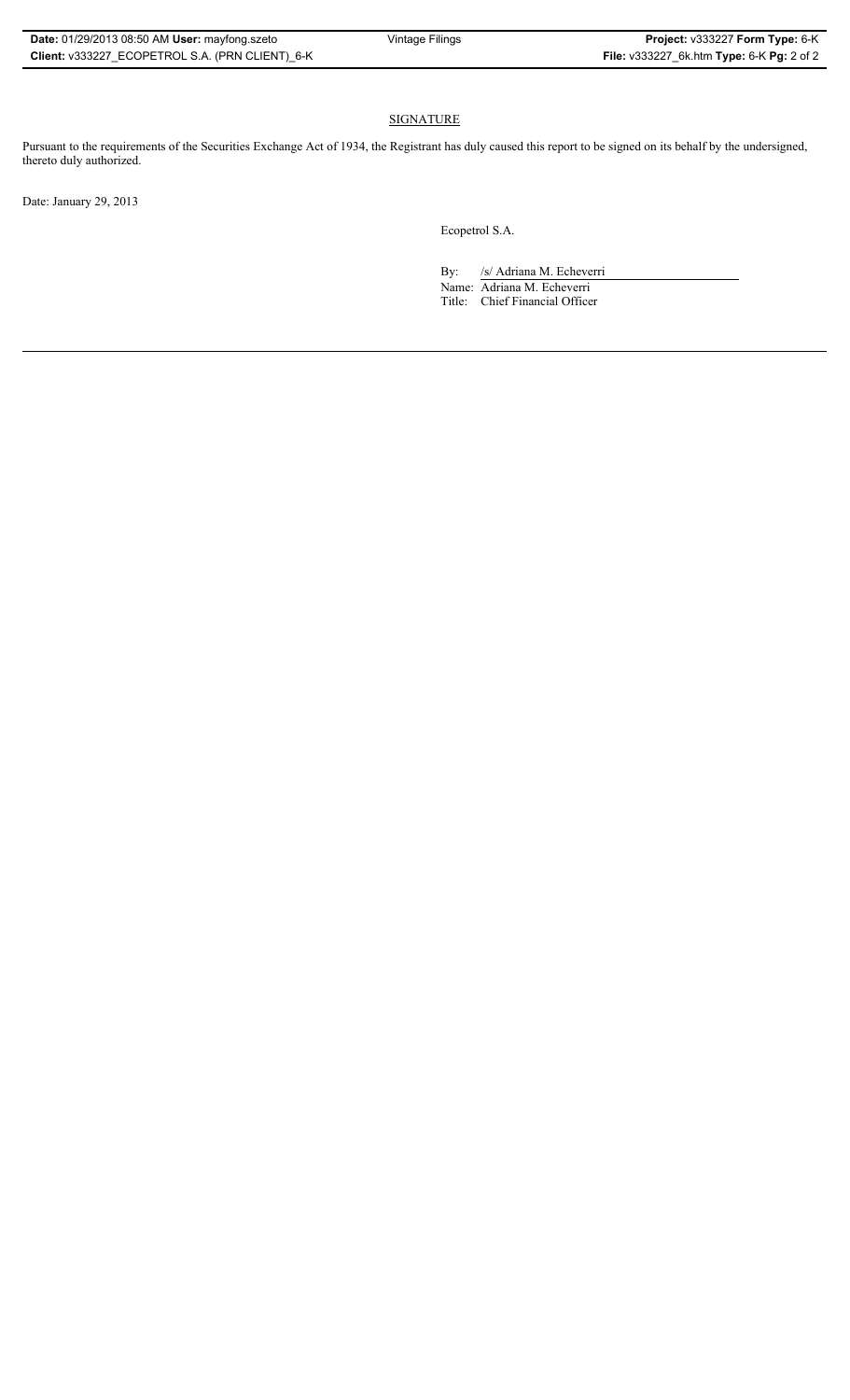## SIGNATURE

Pursuant to the requirements of the Securities Exchange Act of 1934, the Registrant has duly caused this report to be signed on its behalf by the undersigned, thereto duly authorized.

Date: January 29, 2013

Ecopetrol S.A.

By: /s/ Adriana M. Echeverri

Name: Adriana M. Echeverri Title: Chief Financial Officer